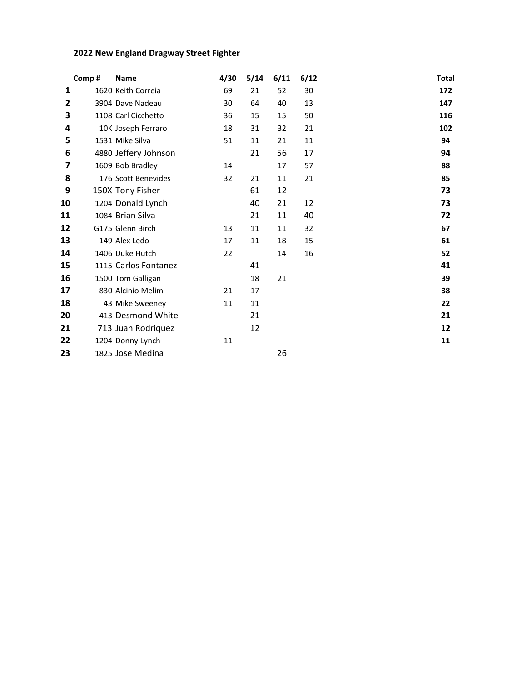## **2022 New England Dragway Street Fighter**

|                | Comp# | <b>Name</b>          | 4/30 | 5/14 | 6/11 | 6/12 | <b>Total</b> |  |
|----------------|-------|----------------------|------|------|------|------|--------------|--|
| 1              |       | 1620 Keith Correia   | 69   | 21   | 52   | 30   | 172          |  |
| $\overline{2}$ |       | 3904 Dave Nadeau     | 30   | 64   | 40   | 13   | 147          |  |
| 3              |       | 1108 Carl Cicchetto  | 36   | 15   | 15   | 50   | 116          |  |
| 4              |       | 10K Joseph Ferraro   | 18   | 31   | 32   | 21   | 102          |  |
| 5              |       | 1531 Mike Silva      | 51   | 11   | 21   | 11   | 94           |  |
| 6              |       | 4880 Jeffery Johnson |      | 21   | 56   | 17   | 94           |  |
| 7              |       | 1609 Bob Bradley     | 14   |      | 17   | 57   | 88           |  |
| 8              |       | 176 Scott Benevides  | 32   | 21   | 11   | 21   | 85           |  |
| 9              |       | 150X Tony Fisher     |      | 61   | 12   |      | 73           |  |
| 10             |       | 1204 Donald Lynch    |      | 40   | 21   | 12   | 73           |  |
| 11             |       | 1084 Brian Silva     |      | 21   | 11   | 40   | 72           |  |
| 12             |       | G175 Glenn Birch     | 13   | 11   | 11   | 32   | 67           |  |
| 13             |       | 149 Alex Ledo        | 17   | 11   | 18   | 15   | 61           |  |
| 14             |       | 1406 Duke Hutch      | 22   |      | 14   | 16   | 52           |  |
| 15             |       | 1115 Carlos Fontanez |      | 41   |      |      | 41           |  |
| 16             |       | 1500 Tom Galligan    |      | 18   | 21   |      | 39           |  |
| 17             |       | 830 Alcinio Melim    | 21   | 17   |      |      | 38           |  |
| 18             |       | 43 Mike Sweeney      | 11   | 11   |      |      | 22           |  |
| 20             |       | 413 Desmond White    |      | 21   |      |      | 21           |  |
| 21             |       | 713 Juan Rodriquez   |      | 12   |      |      | 12           |  |
| 22             |       | 1204 Donny Lynch     | 11   |      |      |      | 11           |  |
| 23             |       | 1825 Jose Medina     |      |      | 26   |      |              |  |
|                |       |                      |      |      |      |      |              |  |